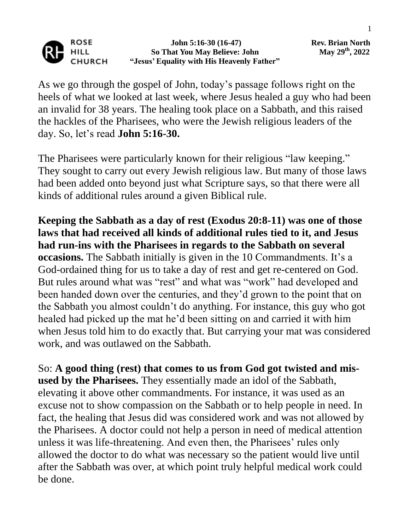

 **John 5:16-30 (16-47) Rev. Brian North So That You May Believe: John "Jesus' Equality with His Heavenly Father"**

As we go through the gospel of John, today's passage follows right on the heels of what we looked at last week, where Jesus healed a guy who had been an invalid for 38 years. The healing took place on a Sabbath, and this raised the hackles of the Pharisees, who were the Jewish religious leaders of the day. So, let's read **John 5:16-30.**

The Pharisees were particularly known for their religious "law keeping." They sought to carry out every Jewish religious law. But many of those laws had been added onto beyond just what Scripture says, so that there were all kinds of additional rules around a given Biblical rule.

**Keeping the Sabbath as a day of rest (Exodus 20:8-11) was one of those laws that had received all kinds of additional rules tied to it, and Jesus had run-ins with the Pharisees in regards to the Sabbath on several occasions.** The Sabbath initially is given in the 10 Commandments. It's a God-ordained thing for us to take a day of rest and get re-centered on God. But rules around what was "rest" and what was "work" had developed and been handed down over the centuries, and they'd grown to the point that on the Sabbath you almost couldn't do anything. For instance, this guy who got healed had picked up the mat he'd been sitting on and carried it with him when Jesus told him to do exactly that. But carrying your mat was considered work, and was outlawed on the Sabbath.

So: **A good thing (rest) that comes to us from God got twisted and misused by the Pharisees.** They essentially made an idol of the Sabbath, elevating it above other commandments. For instance, it was used as an excuse not to show compassion on the Sabbath or to help people in need. In fact, the healing that Jesus did was considered work and was not allowed by the Pharisees. A doctor could not help a person in need of medical attention unless it was life-threatening. And even then, the Pharisees' rules only allowed the doctor to do what was necessary so the patient would live until after the Sabbath was over, at which point truly helpful medical work could be done.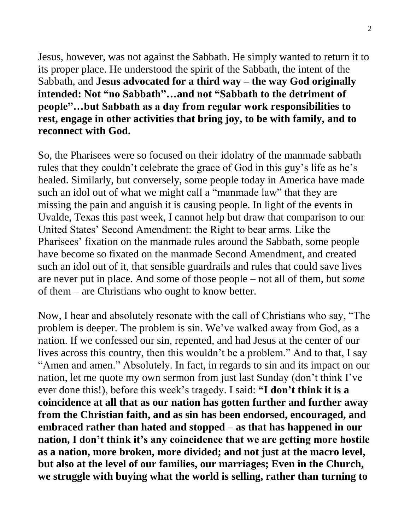Jesus, however, was not against the Sabbath. He simply wanted to return it to its proper place. He understood the spirit of the Sabbath, the intent of the Sabbath, and **Jesus advocated for a third way – the way God originally intended: Not "no Sabbath"…and not "Sabbath to the detriment of people"…but Sabbath as a day from regular work responsibilities to rest, engage in other activities that bring joy, to be with family, and to reconnect with God.**

So, the Pharisees were so focused on their idolatry of the manmade sabbath rules that they couldn't celebrate the grace of God in this guy's life as he's healed. Similarly, but conversely, some people today in America have made such an idol out of what we might call a "manmade law" that they are missing the pain and anguish it is causing people. In light of the events in Uvalde, Texas this past week, I cannot help but draw that comparison to our United States' Second Amendment: the Right to bear arms. Like the Pharisees' fixation on the manmade rules around the Sabbath, some people have become so fixated on the manmade Second Amendment, and created such an idol out of it, that sensible guardrails and rules that could save lives are never put in place. And some of those people – not all of them, but *some* of them – are Christians who ought to know better.

Now, I hear and absolutely resonate with the call of Christians who say, "The problem is deeper. The problem is sin. We've walked away from God, as a nation. If we confessed our sin, repented, and had Jesus at the center of our lives across this country, then this wouldn't be a problem." And to that, I say "Amen and amen." Absolutely. In fact, in regards to sin and its impact on our nation, let me quote my own sermon from just last Sunday (don't think I've ever done this!), before this week's tragedy. I said: **"I don't think it is a coincidence at all that as our nation has gotten further and further away from the Christian faith, and as sin has been endorsed, encouraged, and embraced rather than hated and stopped – as that has happened in our nation, I don't think it's any coincidence that we are getting more hostile as a nation, more broken, more divided; and not just at the macro level, but also at the level of our families, our marriages; Even in the Church, we struggle with buying what the world is selling, rather than turning to**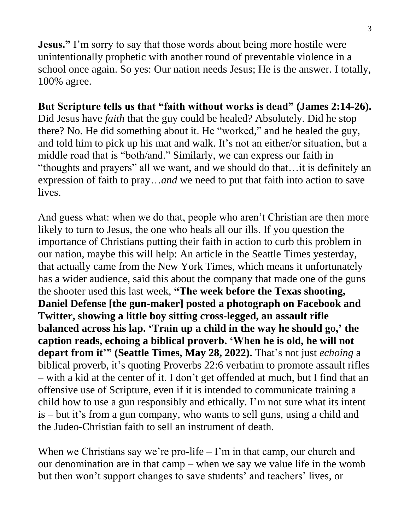**Jesus."** I'm sorry to say that those words about being more hostile were unintentionally prophetic with another round of preventable violence in a school once again. So yes: Our nation needs Jesus; He is the answer. I totally, 100% agree.

## **But Scripture tells us that "faith without works is dead" (James 2:14-26).**

Did Jesus have *faith* that the guy could be healed? Absolutely. Did he stop there? No. He did something about it. He "worked," and he healed the guy, and told him to pick up his mat and walk. It's not an either/or situation, but a middle road that is "both/and." Similarly, we can express our faith in "thoughts and prayers" all we want, and we should do that…it is definitely an expression of faith to pray…*and* we need to put that faith into action to save lives.

And guess what: when we do that, people who aren't Christian are then more likely to turn to Jesus, the one who heals all our ills. If you question the importance of Christians putting their faith in action to curb this problem in our nation, maybe this will help: An article in the Seattle Times yesterday, that actually came from the New York Times, which means it unfortunately has a wider audience, said this about the company that made one of the guns the shooter used this last week, **"The week before the Texas shooting, Daniel Defense [the gun-maker] posted a photograph on Facebook and Twitter, showing a little boy sitting cross-legged, an assault rifle balanced across his lap. 'Train up a child in the way he should go,' the caption reads, echoing a biblical proverb. 'When he is old, he will not depart from it'" (Seattle Times, May 28, 2022).** That's not just *echoing* a biblical proverb, it's quoting Proverbs 22:6 verbatim to promote assault rifles – with a kid at the center of it. I don't get offended at much, but I find that an offensive use of Scripture, even if it is intended to communicate training a child how to use a gun responsibly and ethically. I'm not sure what its intent is – but it's from a gun company, who wants to sell guns, using a child and the Judeo-Christian faith to sell an instrument of death.

When we Christians say we're pro-life  $-1$ 'm in that camp, our church and our denomination are in that camp – when we say we value life in the womb but then won't support changes to save students' and teachers' lives, or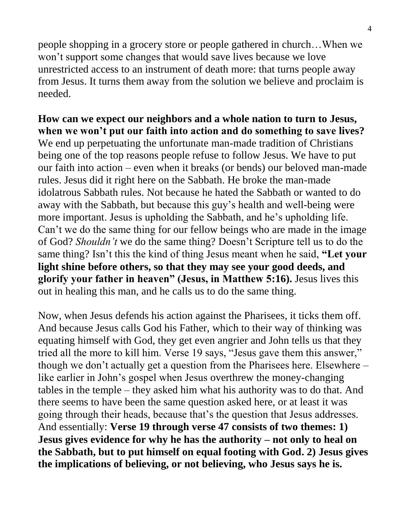people shopping in a grocery store or people gathered in church…When we won't support some changes that would save lives because we love unrestricted access to an instrument of death more: that turns people away from Jesus. It turns them away from the solution we believe and proclaim is needed.

**How can we expect our neighbors and a whole nation to turn to Jesus, when we won't put our faith into action and do something to save lives?**  We end up perpetuating the unfortunate man-made tradition of Christians being one of the top reasons people refuse to follow Jesus. We have to put our faith into action – even when it breaks (or bends) our beloved man-made rules. Jesus did it right here on the Sabbath. He broke the man-made idolatrous Sabbath rules. Not because he hated the Sabbath or wanted to do away with the Sabbath, but because this guy's health and well-being were more important. Jesus is upholding the Sabbath, and he's upholding life. Can't we do the same thing for our fellow beings who are made in the image of God? *Shouldn't* we do the same thing? Doesn't Scripture tell us to do the same thing? Isn't this the kind of thing Jesus meant when he said, **"Let your light shine before others, so that they may see your good deeds, and glorify your father in heaven" (Jesus, in Matthew 5:16).** Jesus lives this out in healing this man, and he calls us to do the same thing.

Now, when Jesus defends his action against the Pharisees, it ticks them off. And because Jesus calls God his Father, which to their way of thinking was equating himself with God, they get even angrier and John tells us that they tried all the more to kill him. Verse 19 says, "Jesus gave them this answer," though we don't actually get a question from the Pharisees here. Elsewhere – like earlier in John's gospel when Jesus overthrew the money-changing tables in the temple – they asked him what his authority was to do that. And there seems to have been the same question asked here, or at least it was going through their heads, because that's the question that Jesus addresses. And essentially: **Verse 19 through verse 47 consists of two themes: 1) Jesus gives evidence for why he has the authority – not only to heal on the Sabbath, but to put himself on equal footing with God. 2) Jesus gives the implications of believing, or not believing, who Jesus says he is.**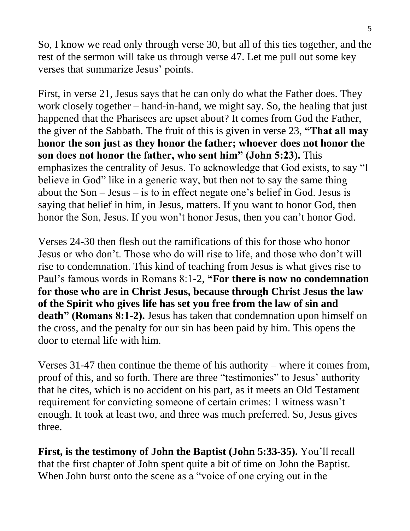So, I know we read only through verse 30, but all of this ties together, and the rest of the sermon will take us through verse 47. Let me pull out some key verses that summarize Jesus' points.

First, in verse 21, Jesus says that he can only do what the Father does. They work closely together – hand-in-hand, we might say. So, the healing that just happened that the Pharisees are upset about? It comes from God the Father, the giver of the Sabbath. The fruit of this is given in verse 23, **"That all may honor the son just as they honor the father; whoever does not honor the son does not honor the father, who sent him" (John 5:23).** This emphasizes the centrality of Jesus. To acknowledge that God exists, to say "I believe in God" like in a generic way, but then not to say the same thing about the Son – Jesus – is to in effect negate one's belief in God. Jesus is saying that belief in him, in Jesus, matters. If you want to honor God, then honor the Son, Jesus. If you won't honor Jesus, then you can't honor God.

Verses 24-30 then flesh out the ramifications of this for those who honor Jesus or who don't. Those who do will rise to life, and those who don't will rise to condemnation. This kind of teaching from Jesus is what gives rise to Paul's famous words in Romans 8:1-2, **"For there is now no condemnation for those who are in Christ Jesus, because through Christ Jesus the law of the Spirit who gives life has set you free from the law of sin and**  death" (Romans 8:1-2). Jesus has taken that condemnation upon himself on the cross, and the penalty for our sin has been paid by him. This opens the door to eternal life with him.

Verses 31-47 then continue the theme of his authority – where it comes from, proof of this, and so forth. There are three "testimonies" to Jesus' authority that he cites, which is no accident on his part, as it meets an Old Testament requirement for convicting someone of certain crimes: 1 witness wasn't enough. It took at least two, and three was much preferred. So, Jesus gives three.

**First, is the testimony of John the Baptist (John 5:33-35).** You'll recall that the first chapter of John spent quite a bit of time on John the Baptist. When John burst onto the scene as a "voice of one crying out in the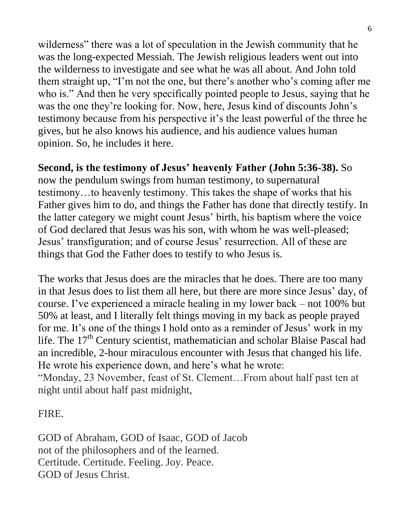wilderness" there was a lot of speculation in the Jewish community that he was the long-expected Messiah. The Jewish religious leaders went out into the wilderness to investigate and see what he was all about. And John told them straight up, "I'm not the one, but there's another who's coming after me who is." And then he very specifically pointed people to Jesus, saying that he was the one they're looking for. Now, here, Jesus kind of discounts John's testimony because from his perspective it's the least powerful of the three he gives, but he also knows his audience, and his audience values human opinion. So, he includes it here.

## **Second, is the testimony of Jesus' heavenly Father (John 5:36-38).** So

now the pendulum swings from human testimony, to supernatural testimony…to heavenly testimony. This takes the shape of works that his Father gives him to do, and things the Father has done that directly testify. In the latter category we might count Jesus' birth, his baptism where the voice of God declared that Jesus was his son, with whom he was well-pleased; Jesus' transfiguration; and of course Jesus' resurrection. All of these are things that God the Father does to testify to who Jesus is.

The works that Jesus does are the miracles that he does. There are too many in that Jesus does to list them all here, but there are more since Jesus' day, of course. I've experienced a miracle healing in my lower back – not 100% but 50% at least, and I literally felt things moving in my back as people prayed for me. It's one of the things I hold onto as a reminder of Jesus' work in my life. The 17<sup>th</sup> Century scientist, mathematician and scholar Blaise Pascal had an incredible, 2-hour miraculous encounter with Jesus that changed his life. He wrote his experience down, and here's what he wrote:

"Monday, 23 November, feast of St. Clement…From about half past ten at night until about half past midnight,

## FIRE.

GOD of Abraham, GOD of Isaac, GOD of Jacob not of the philosophers and of the learned. Certitude. Certitude. Feeling. Joy. Peace. GOD of Jesus Christ.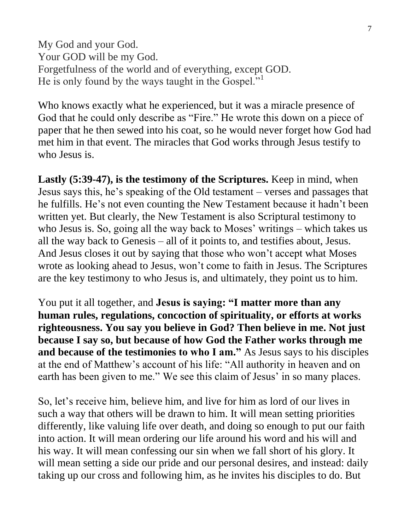My God and your God. Your GOD will be my God. Forgetfulness of the world and of everything, except GOD. He is only found by the ways taught in the Gospel."

Who knows exactly what he experienced, but it was a miracle presence of God that he could only describe as "Fire." He wrote this down on a piece of paper that he then sewed into his coat, so he would never forget how God had met him in that event. The miracles that God works through Jesus testify to who Jesus is.

**Lastly (5:39-47), is the testimony of the Scriptures.** Keep in mind, when Jesus says this, he's speaking of the Old testament – verses and passages that he fulfills. He's not even counting the New Testament because it hadn't been written yet. But clearly, the New Testament is also Scriptural testimony to who Jesus is. So, going all the way back to Moses' writings – which takes us all the way back to Genesis – all of it points to, and testifies about, Jesus. And Jesus closes it out by saying that those who won't accept what Moses wrote as looking ahead to Jesus, won't come to faith in Jesus. The Scriptures are the key testimony to who Jesus is, and ultimately, they point us to him.

You put it all together, and **Jesus is saying: "I matter more than any human rules, regulations, concoction of spirituality, or efforts at works righteousness. You say you believe in God? Then believe in me. Not just because I say so, but because of how God the Father works through me and because of the testimonies to who I am."** As Jesus says to his disciples at the end of Matthew's account of his life: "All authority in heaven and on earth has been given to me." We see this claim of Jesus' in so many places.

So, let's receive him, believe him, and live for him as lord of our lives in such a way that others will be drawn to him. It will mean setting priorities differently, like valuing life over death, and doing so enough to put our faith into action. It will mean ordering our life around his word and his will and his way. It will mean confessing our sin when we fall short of his glory. It will mean setting a side our pride and our personal desires, and instead: daily taking up our cross and following him, as he invites his disciples to do. But